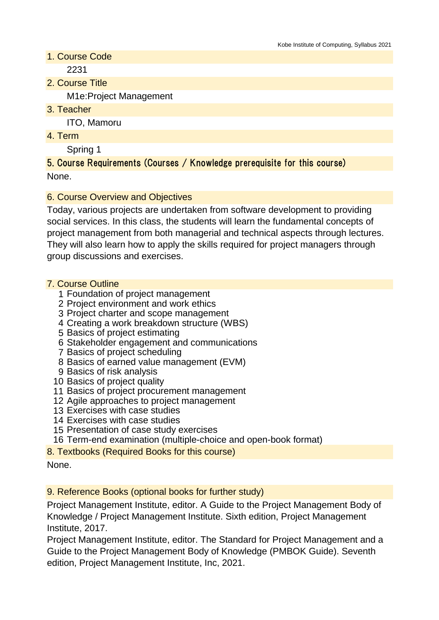1. Course Code

2231

2. Course Title

M1e:Project Management

3. Teacher

ITO, Mamoru

4. Term

Spring 1

5. Course Requirements (Courses / Knowledge prerequisite for this course) None.

# 6. Course Overview and Objectives

Today, various projects are undertaken from software development to providing social services. In this class, the students will learn the fundamental concepts of project management from both managerial and technical aspects through lectures. They will also learn how to apply the skills required for project managers through group discussions and exercises.

## 7. Course Outline

- 1 Foundation of project management
- 2 Project environment and work ethics
- 3 Project charter and scope management
- 4 Creating a work breakdown structure (WBS)
- 5 Basics of project estimating
- 6 Stakeholder engagement and communications
- 7 Basics of project scheduling
- 8 Basics of earned value management (EVM)
- 9 Basics of risk analysis
- 10 Basics of project quality
- 11 Basics of project procurement management
- 12 Agile approaches to project management
- 13 Exercises with case studies
- 14 Exercises with case studies
- 15 Presentation of case study exercises
- 16 Term-end examination (multiple-choice and open-book format)
- 8. Textbooks (Required Books for this course)

## 9. Reference Books (optional books for further study)

Project Management Institute, editor. A Guide to the Project Management Body of Knowledge / Project Management Institute. Sixth edition, Project Management Institute, 2017.

Project Management Institute, editor. The Standard for Project Management and a Guide to the Project Management Body of Knowledge (PMBOK Guide). Seventh edition, Project Management Institute, Inc, 2021.

None.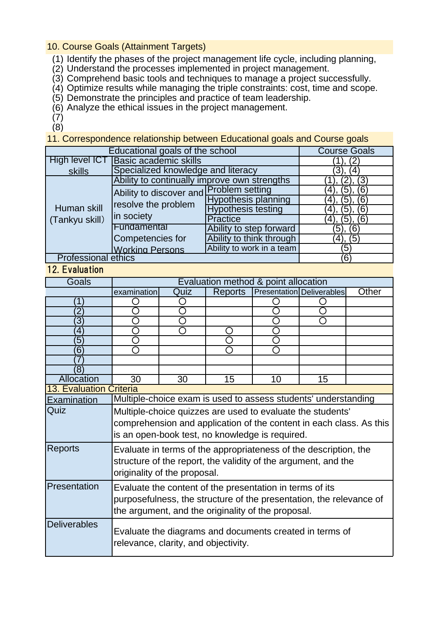10. Course Goals (Attainment Targets)

- (1) Identify the phases of the project management life cycle, including planning,
- (2) Understand the processes implemented in project management.
- (3) Comprehend basic tools and techniques to manage a project successfully.
- (4) Optimize results while managing the triple constraints: cost, time and scope.
- (5) Demonstrate the principles and practice of team leadership.
- (6) Analyze the ethical issues in the project management.

(7) (8)

11. Correspondence relationship between Educational goals and Course goals

| Educational goals of the school | <b>Course Goals</b>                                                          |                            |             |
|---------------------------------|------------------------------------------------------------------------------|----------------------------|-------------|
| High level ICT                  | <b>Basic academic skills</b>                                                 | (2)                        |             |
| skills                          | Specialized knowledge and literacy                                           | (3), (4)                   |             |
| Human skill<br>(Tankyu skill)   | Ability to continually improve own strengths                                 | (ვ                         |             |
|                                 | Ability to discover and Problem setting<br>resolve the problem<br>in society |                            | 6)<br>(5)   |
|                                 |                                                                              | <b>Hypothesis planning</b> | (6<br>(5),  |
|                                 |                                                                              | <b>Hypothesis testing</b>  | 6)<br>(5),  |
|                                 |                                                                              | Practice                   | (6)         |
|                                 | Fundamental                                                                  | Ability to step forward    | (6)<br>(5), |
|                                 | Competencies for                                                             | Ability to think through   | (4), (5)    |
|                                 | <b>Working Persons</b>                                                       | Ability to work in a team  | ʹ5ͺ         |
| <b>Professional ethics</b>      |                                                                              |                            | (6)         |

## 12. Evaluation

| Goals                          | Evaluation method & point allocation                                |      |         |    |                                  |       |
|--------------------------------|---------------------------------------------------------------------|------|---------|----|----------------------------------|-------|
|                                | examination                                                         | Quiz | Reports |    | <b>Presentation Deliverables</b> | Other |
| Ί                              |                                                                     |      |         |    |                                  |       |
| $\overline{2}$                 |                                                                     |      |         |    |                                  |       |
| $\overline{3}$                 |                                                                     | ∩    |         |    | Ω                                |       |
| $\boldsymbol{4}$               |                                                                     | ◯    |         |    |                                  |       |
| $\sqrt{5}$                     |                                                                     |      |         |    |                                  |       |
| $6^{\circ}$                    |                                                                     |      |         |    |                                  |       |
|                                |                                                                     |      |         |    |                                  |       |
| (8)                            |                                                                     |      |         |    |                                  |       |
| Allocation                     | $\overline{30}$                                                     | 30   | 15      | 10 | 15                               |       |
| <b>13. Evaluation Criteria</b> |                                                                     |      |         |    |                                  |       |
| Examination                    | Multiple-choice exam is used to assess students' understanding      |      |         |    |                                  |       |
| Quiz                           | Multiple-choice quizzes are used to evaluate the students'          |      |         |    |                                  |       |
|                                | comprehension and application of the content in each class. As this |      |         |    |                                  |       |
|                                | is an open-book test, no knowledge is required.                     |      |         |    |                                  |       |
| <b>Reports</b>                 | Evaluate in terms of the appropriateness of the description, the    |      |         |    |                                  |       |
|                                | structure of the report, the validity of the argument, and the      |      |         |    |                                  |       |
|                                |                                                                     |      |         |    |                                  |       |
|                                | originality of the proposal.                                        |      |         |    |                                  |       |
| Presentation                   | Evaluate the content of the presentation in terms of its            |      |         |    |                                  |       |
|                                | purposefulness, the structure of the presentation, the relevance of |      |         |    |                                  |       |
|                                | the argument, and the originality of the proposal.                  |      |         |    |                                  |       |
| <b>Deliverables</b>            |                                                                     |      |         |    |                                  |       |
|                                | Evaluate the diagrams and documents created in terms of             |      |         |    |                                  |       |
|                                | relevance, clarity, and objectivity.                                |      |         |    |                                  |       |
|                                |                                                                     |      |         |    |                                  |       |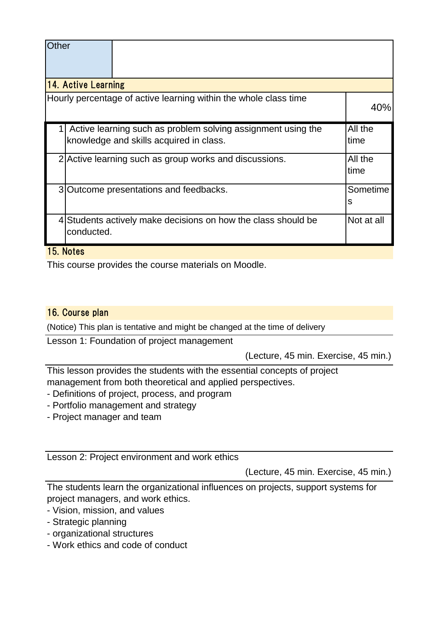| Other                                                                                                   |                                                        |                                                               |               |  |  |  |
|---------------------------------------------------------------------------------------------------------|--------------------------------------------------------|---------------------------------------------------------------|---------------|--|--|--|
| <b>14. Active Learning</b>                                                                              |                                                        |                                                               |               |  |  |  |
| Hourly percentage of active learning within the whole class time                                        |                                                        |                                                               |               |  |  |  |
| Active learning such as problem solving assignment using the<br>knowledge and skills acquired in class. |                                                        |                                                               |               |  |  |  |
|                                                                                                         | 2 Active learning such as group works and discussions. |                                                               |               |  |  |  |
|                                                                                                         |                                                        | 3 Outcome presentations and feedbacks.                        | Sometime<br>s |  |  |  |
|                                                                                                         | conducted.                                             | 4 Students actively make decisions on how the class should be | Not at all    |  |  |  |

#### 15. Notes

This course provides the course materials on Moodle.

#### 16. Course plan

(Notice) This plan is tentative and might be changed at the time of delivery

Lesson 1: Foundation of project management

(Lecture, 45 min. Exercise, 45 min.)

This lesson provides the students with the essential concepts of project management from both theoretical and applied perspectives.

- Definitions of project, process, and program
- Portfolio management and strategy
- Project manager and team

Lesson 2: Project environment and work ethics

(Lecture, 45 min. Exercise, 45 min.)

The students learn the organizational influences on projects, support systems for project managers, and work ethics.

- Vision, mission, and values
- Strategic planning
- organizational structures
- Work ethics and code of conduct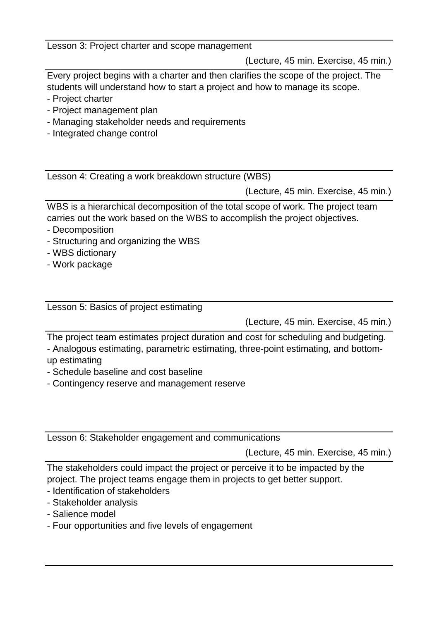Lesson 3: Project charter and scope management

(Lecture, 45 min. Exercise, 45 min.)

Every project begins with a charter and then clarifies the scope of the project. The students will understand how to start a project and how to manage its scope.

- Project charter
- Project management plan
- Managing stakeholder needs and requirements
- Integrated change control

Lesson 4: Creating a work breakdown structure (WBS)

(Lecture, 45 min. Exercise, 45 min.)

WBS is a hierarchical decomposition of the total scope of work. The project team carries out the work based on the WBS to accomplish the project objectives.

- Decomposition
- Structuring and organizing the WBS
- WBS dictionary
- Work package

Lesson 5: Basics of project estimating

(Lecture, 45 min. Exercise, 45 min.)

The project team estimates project duration and cost for scheduling and budgeting.

- Analogous estimating, parametric estimating, three-point estimating, and bottomup estimating

- Schedule baseline and cost baseline
- Contingency reserve and management reserve

Lesson 6: Stakeholder engagement and communications

(Lecture, 45 min. Exercise, 45 min.)

The stakeholders could impact the project or perceive it to be impacted by the project. The project teams engage them in projects to get better support.

- Identification of stakeholders
- Stakeholder analysis
- Salience model
- Four opportunities and five levels of engagement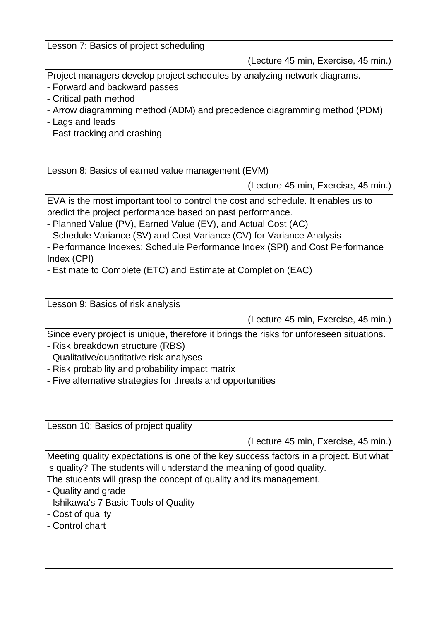Lesson 7: Basics of project scheduling

(Lecture 45 min, Exercise, 45 min.)

Project managers develop project schedules by analyzing network diagrams.

- Forward and backward passes

- Critical path method
- Arrow diagramming method (ADM) and precedence diagramming method (PDM)
- Lags and leads
- Fast-tracking and crashing

Lesson 8: Basics of earned value management (EVM)

(Lecture 45 min, Exercise, 45 min.)

EVA is the most important tool to control the cost and schedule. It enables us to predict the project performance based on past performance.

- Planned Value (PV), Earned Value (EV), and Actual Cost (AC)

- Schedule Variance (SV) and Cost Variance (CV) for Variance Analysis

- Performance Indexes: Schedule Performance Index (SPI) and Cost Performance Index (CPI)

- Estimate to Complete (ETC) and Estimate at Completion (EAC)

Lesson 9: Basics of risk analysis

(Lecture 45 min, Exercise, 45 min.)

Since every project is unique, therefore it brings the risks for unforeseen situations.

- Risk breakdown structure (RBS)
- Qualitative/quantitative risk analyses
- Risk probability and probability impact matrix
- Five alternative strategies for threats and opportunities

Lesson 10: Basics of project quality

(Lecture 45 min, Exercise, 45 min.)

Meeting quality expectations is one of the key success factors in a project. But what is quality? The students will understand the meaning of good quality.

The students will grasp the concept of quality and its management.

- Quality and grade
- Ishikawa's 7 Basic Tools of Quality
- Cost of quality
- Control chart